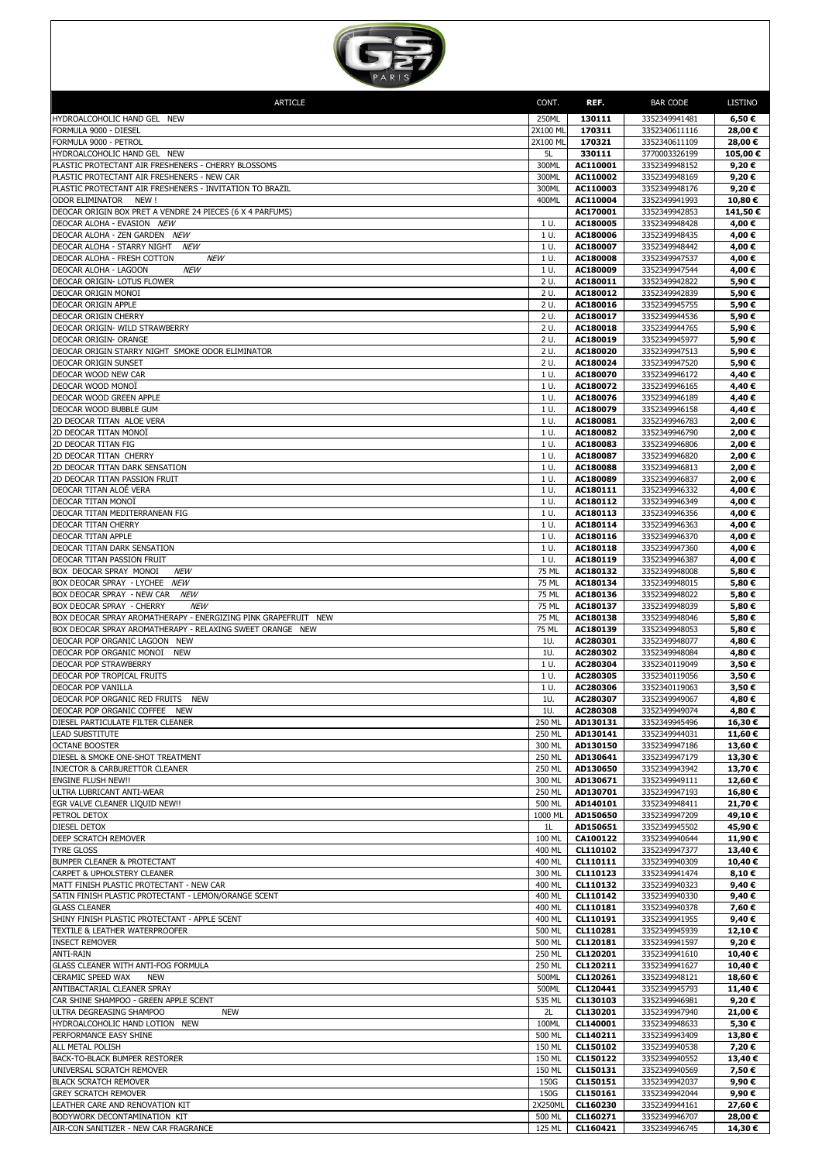

| <b>ARTICLE</b>                                                                       | CONT.            | REF.                 | <b>BAR CODE</b>                | LISTINO           |
|--------------------------------------------------------------------------------------|------------------|----------------------|--------------------------------|-------------------|
| HYDROALCOHOLIC HAND GEL NEW                                                          | 250ML            | 130111               | 3352349941481                  | 6,50€             |
| FORMULA 9000 - DIESEL                                                                | 2X100 ML         | 170311               | 3352340611116                  | 28,00€            |
| FORMULA 9000 - PETROL<br>HYDROALCOHOLIC HAND GEL NEW                                 | 2X100 ML<br>5L   | 170321<br>330111     | 3352340611109<br>3770003326199 | 28,00€<br>105,00€ |
| PLASTIC PROTECTANT AIR FRESHENERS - CHERRY BLOSSOMS                                  | 300ML            | AC110001             | 3352349948152                  | 9,20€             |
| PLASTIC PROTECTANT AIR FRESHENERS - NEW CAR                                          | 300ML            | AC110002             | 3352349948169                  | 9,20€             |
| PLASTIC PROTECTANT AIR FRESHENERS - INVITATION TO BRAZIL<br>ODOR ELIMINATOR<br>NEW ! | 300ML<br>400ML   | AC110003<br>AC110004 | 3352349948176<br>3352349941993 | 9,20€<br>10,80€   |
| DEOCAR ORIGIN BOX PRET A VENDRE 24 PIECES (6 X 4 PARFUMS)                            |                  | AC170001             | 3352349942853                  | 141,50€           |
| DEOCAR ALOHA - EVASION NEW                                                           | 1 U.             | AC180005             | 3352349948428                  | 4,00€             |
| DEOCAR ALOHA - ZEN GARDEN NEW<br>DEOCAR ALOHA - STARRY NIGHT<br><i>NEW</i>           | 1 U.<br>1 U.     | AC180006<br>AC180007 | 3352349948435<br>3352349948442 | 4,00€<br>4,00€    |
| DEOCAR ALOHA - FRESH COTTON<br><b>NEW</b>                                            | 1 U.             | AC180008             | 3352349947537                  | 4,00€             |
| DEOCAR ALOHA - LAGOON<br><b>NEW</b>                                                  | 1 U.             | AC180009             | 3352349947544                  | 4,00€             |
| DEOCAR ORIGIN- LOTUS FLOWER<br>DEOCAR ORIGIN MONOI                                   | 2 U.<br>2 U.     | AC180011<br>AC180012 | 3352349942822<br>3352349942839 | 5,90€             |
| DEOCAR ORIGIN APPLE                                                                  | 2 U.             | AC180016             | 3352349945755                  | 5,90€<br>5,90€    |
| DEOCAR ORIGIN CHERRY                                                                 | 2 U.             | AC180017             | 3352349944536                  | 5,90€             |
| DEOCAR ORIGIN- WILD STRAWBERRY                                                       | 2 U.             | AC180018             | 3352349944765                  | 5,90€             |
| DEOCAR ORIGIN- ORANGE<br>DEOCAR ORIGIN STARRY NIGHT SMOKE ODOR ELIMINATOR            | 2 U.<br>2 U.     | AC180019<br>AC180020 | 3352349945977<br>3352349947513 | 5,90€<br>5,90€    |
| DEOCAR ORIGIN SUNSET                                                                 | 2 U.             | AC180024             | 3352349947520                  | 5,90€             |
| DEOCAR WOOD NEW CAR                                                                  | 1 U.             | AC180070             | 3352349946172                  | 4,40€             |
| DEOCAR WOOD MONOÏ<br>DEOCAR WOOD GREEN APPLE                                         | 1 U.<br>1 U.     | AC180072<br>AC180076 | 3352349946165<br>3352349946189 | 4,40€<br>4,40€    |
| DEOCAR WOOD BUBBLE GUM                                                               | 1 U.             | AC180079             | 3352349946158                  | 4,40€             |
| 2D DEOCAR TITAN ALOE VERA                                                            | 1 U.             | AC180081             | 3352349946783                  | 2,00€             |
| 2D DEOCAR TITAN MONOÏ<br>2D DEOCAR TITAN FIG                                         | 1 U.<br>1 U.     | AC180082<br>AC180083 | 3352349946790<br>3352349946806 | 2,00€<br>2,00€    |
| 2D DEOCAR TITAN CHERRY                                                               | 1 U.             | AC180087             | 3352349946820                  | 2,00€             |
| 2D DEOCAR TITAN DARK SENSATION                                                       | 1 U.             | AC180088             | 3352349946813                  | 2,00€             |
| 2D DEOCAR TITAN PASSION FRUIT                                                        | 1 U.             | AC180089             | 3352349946837                  | 2,00€             |
| DEOCAR TITAN ALOÉ VERA<br>DEOCAR TITAN MONOÏ                                         | 1 U.<br>1 U.     | AC180111<br>AC180112 | 3352349946332<br>3352349946349 | 4,00€<br>4,00€    |
| DEOCAR TITAN MEDITERRANEAN FIG                                                       | 1 U.             | AC180113             | 3352349946356                  | 4,00€             |
| DEOCAR TITAN CHERRY                                                                  | 1 U.             | AC180114             | 3352349946363                  | 4,00€             |
| <b>DEOCAR TITAN APPLE</b><br>DEOCAR TITAN DARK SENSATION                             | 1 U.<br>1 U.     | AC180116<br>AC180118 | 3352349946370<br>3352349947360 | 4,00€<br>4,00€    |
| DEOCAR TITAN PASSION FRUIT                                                           | 1 U.             | AC180119             | 3352349946387                  | 4,00€             |
| BOX DEOCAR SPRAY MONOI<br><b>NEW</b>                                                 | 75 ML            | AC180132             | 3352349948008                  | 5,80€             |
| BOX DEOCAR SPRAY - LYCHEE NEW<br>BOX DEOCAR SPRAY - NEW CAR<br>NEW                   | 75 ML<br>75 ML   | AC180134<br>AC180136 | 3352349948015<br>3352349948022 | 5,80€<br>5,80€    |
| BOX DEOCAR SPRAY - CHERRY<br><b>NEW</b>                                              | 75 ML            | AC180137             | 3352349948039                  | 5,80€             |
| BOX DEOCAR SPRAY AROMATHERAPY - ENERGIZING PINK GRAPEFRUIT NEW                       | 75 ML            | AC180138             | 3352349948046                  | 5,80€             |
| BOX DEOCAR SPRAY AROMATHERAPY - RELAXING SWEET ORANGE NEW                            | 75 ML            | AC180139<br>AC280301 | 3352349948053                  | 5,80€             |
| DEOCAR POP ORGANIC LAGOON NEW<br>DEOCAR POP ORGANIC MONOI<br><b>NEW</b>              | 1U.<br>1U.       | AC280302             | 3352349948077<br>3352349948084 | 4,80€<br>4,80€    |
| DEOCAR POP STRAWBERRY                                                                | 1 U.             | AC280304             | 3352340119049                  | 3,50€             |
| DEOCAR POP TROPICAL FRUITS                                                           | 1 U.             | AC280305             | 3352340119056                  | 3,50€             |
| DEOCAR POP VANILLA<br>DEOCAR POP ORGANIC RED FRUITS NEW                              | 1 U.<br>1U.      | AC280306<br>AC280307 | 3352340119063<br>3352349949067 | 3,50€<br>4,80€    |
| DEOCAR POP ORGANIC COFFEE NEW                                                        | 1U.              | AC280308             | 3352349949074                  | 4,80€             |
| DIESEL PARTICULATE FILTER CLEANER                                                    | 250 ML           | AD130131             | 3352349945496                  | 16,30€            |
| <b>LEAD SUBSTITUTE</b><br><b>OCTANE BOOSTER</b>                                      | 250 ML<br>300 ML | AD130141<br>AD130150 | 3352349944031<br>3352349947186 | 11,60€<br>13,60€  |
| DIESEL & SMOKE ONE-SHOT TREATMENT                                                    | 250 ML           | AD130641             | 3352349947179                  | 13,30€            |
| INJECTOR & CARBURETTOR CLEANER                                                       | 250 ML           | AD130650             | 3352349943942                  | 13,70€            |
| ENGINE FLUSH NEW!!<br>ULTRA LUBRICANT ANTI-WEAR                                      | 300 ML<br>250 ML | AD130671<br>AD130701 | 3352349949111<br>3352349947193 | 12,60€<br>16,80€  |
| EGR VALVE CLEANER LIQUID NEW !!                                                      | 500 ML           | AD140101             | 3352349948411                  | 21,70€            |
| PETROL DETOX                                                                         | 1000 ML          | AD150650             | 3352349947209                  | 49,10€            |
| DIESEL DETOX<br>DEEP SCRATCH REMOVER                                                 | 1L<br>100 ML     | AD150651<br>CA100122 | 3352349945502<br>3352349940644 | 45,90€<br>11,90€  |
| TYRE GLOSS                                                                           | 400 ML           | CL110102             | 3352349947377                  | 13,40€            |
| BUMPER CLEANER & PROTECTANT                                                          | 400 ML           | CL110111             | 3352349940309                  | 10,40€            |
| CARPET & UPHOLSTERY CLEANER<br>MATT FINISH PLASTIC PROTECTANT - NEW CAR              | 300 ML<br>400 ML | CL110123<br>CL110132 | 3352349941474<br>3352349940323 | 8,10€<br>9,40€    |
| SATIN FINISH PLASTIC PROTECTANT - LEMON/ORANGE SCENT                                 | 400 ML           | CL110142             | 3352349940330                  | 9,40€             |
| <b>GLASS CLEANER</b>                                                                 | 400 ML           | CL110181             | 3352349940378                  | 7,60€             |
| SHINY FINISH PLASTIC PROTECTANT - APPLE SCENT<br>TEXTILE & LEATHER WATERPROOFER      | 400 ML<br>500 ML | CL110191<br>CL110281 | 3352349941955<br>3352349945939 | 9,40€<br>12,10€   |
| <b>INSECT REMOVER</b>                                                                | 500 ML           | CL120181             | 3352349941597                  | 9,20€             |
| <b>ANTI-RAIN</b>                                                                     | 250 ML           | CL120201             | 3352349941610                  | 10,40€            |
| GLASS CLEANER WITH ANTI-FOG FORMULA                                                  | 250 ML           | CL120211             | 3352349941627                  | 10,40€            |
| CERAMIC SPEED WAX<br>NEW<br>ANTIBACTARIAL CLEANER SPRAY                              | 500ML<br>500ML   | CL120261<br>CL120441 | 3352349948121<br>3352349945793 | 18,60€<br>11,40€  |
| CAR SHINE SHAMPOO - GREEN APPLE SCENT                                                | 535 ML           | CL130103             | 3352349946981                  | 9,20€             |
| ULTRA DEGREASING SHAMPOO<br><b>NEW</b>                                               | 2L               | CL130201             | 3352349947940                  | 21,00€            |
| HYDROALCOHOLIC HAND LOTION NEW<br>PERFORMANCE EASY SHINE                             | 100ML<br>500 ML  | CL140001<br>CL140211 | 3352349948633<br>3352349943409 | 5,30€<br>13,80€   |
| ALL METAL POLISH                                                                     | 150 ML           | CL150102             | 3352349940538                  | 7,20€             |
| BACK-TO-BLACK BUMPER RESTORER                                                        | 150 ML           | CL150122             | 3352349940552                  | 13,40€            |
| UNIVERSAL SCRATCH REMOVER<br>BLACK SCRATCH REMOVER                                   | 150 ML<br>150G   | CL150131<br>CL150151 | 3352349940569<br>3352349942037 | 7,50€<br>9,90€    |
| <b>GREY SCRATCH REMOVER</b>                                                          | 150G             | CL150161             | 3352349942044                  | 9,90€             |
| LEATHER CARE AND RENOVATION KIT                                                      | 2X250ML          | CL160230             | 3352349944161                  | 27,60€            |
| BODYWORK DECONTAMINATION KIT<br>AIR-CON SANITIZER - NEW CAR FRAGRANCE                | 500 ML<br>125 ML | CL160271<br>CL160421 | 3352349946707<br>3352349946745 | 28,00€<br>14,30€  |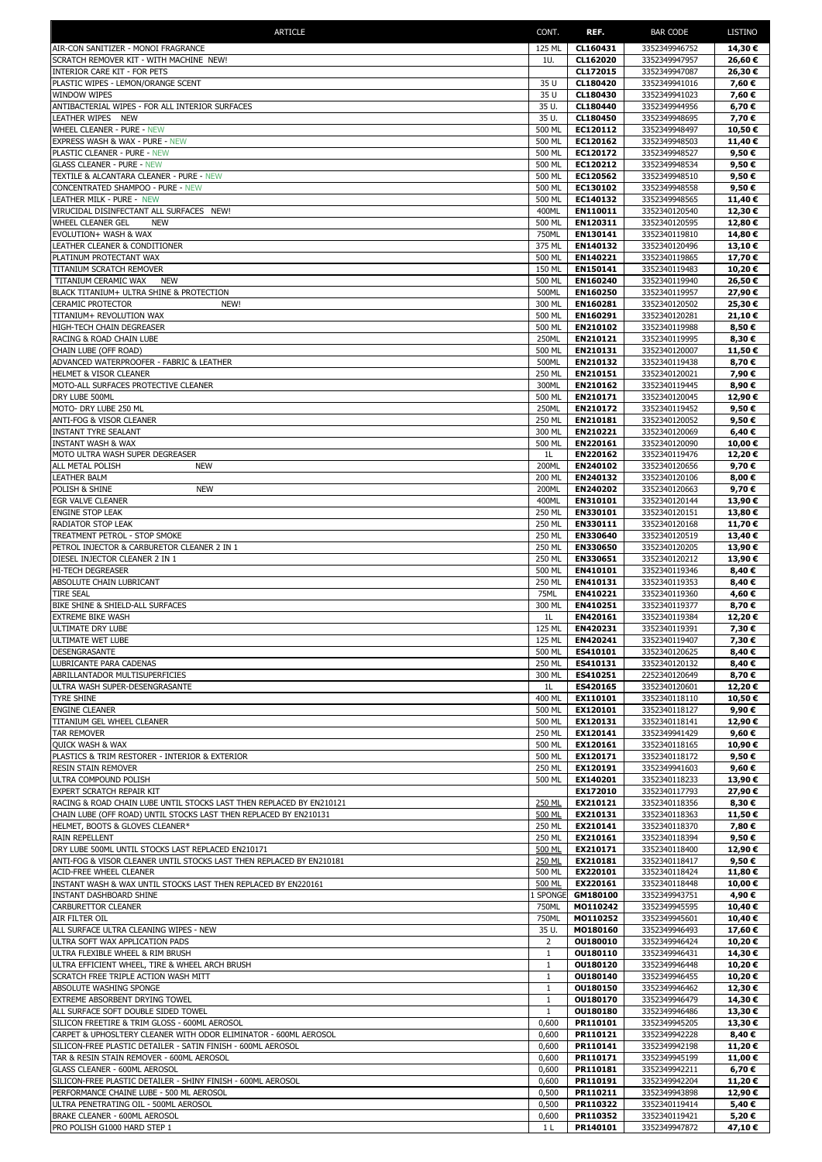| ARTICLE                                                                                       | CONT.             | REF.                 | <b>BAR CODE</b>                | LISTINO          |
|-----------------------------------------------------------------------------------------------|-------------------|----------------------|--------------------------------|------------------|
| AIR-CON SANITIZER - MONOI FRAGRANCE                                                           | 125 ML            | CL160431             | 3352349946752                  | 14,30€           |
| SCRATCH REMOVER KIT - WITH MACHINE NEW!                                                       | 1U.               | CL162020             | 3352349947957                  | 26,60€           |
| INTERIOR CARE KIT - FOR PETS                                                                  |                   | CL172015             | 3352349947087                  | 26,30€           |
| PLASTIC WIPES - LEMON/ORANGE SCENT                                                            | 35 U              | CL180420             | 3352349941016                  | 7,60€            |
| WINDOW WIPES                                                                                  | 35 U              | CL180430             | 3352349941023                  | 7,60€            |
| ANTIBACTERIAL WIPES - FOR ALL INTERIOR SURFACES                                               | 35 U.             | CL180440             | 3352349944956                  | 6,70€            |
| LEATHER WIPES NEW                                                                             | 35 U.             | CL180450             | 3352349948695                  | 7,70€            |
| WHEEL CLEANER - PURE - NEW                                                                    | 500 ML<br>500 ML  | EC120112<br>EC120162 | 3352349948497                  | 10,50€<br>11,40€ |
| EXPRESS WASH & WAX - PURE - NEW<br>PLASTIC CLEANER - PURE - NEW                               | 500 ML            | EC120172             | 3352349948503<br>3352349948527 | 9,50€            |
| <b>GLASS CLEANER - PURE - NEW</b>                                                             | 500 ML            | EC120212             | 3352349948534                  | 9,50€            |
| TEXTILE & ALCANTARA CLEANER - PURE - NEW                                                      | 500 ML            | EC120562             | 3352349948510                  | 9,50€            |
| CONCENTRATED SHAMPOO - PURE - NEW                                                             | 500 ML            | EC130102             | 3352349948558                  | 9,50€            |
| LEATHER MILK - PURE - NEW                                                                     | 500 ML            | EC140132             | 3352349948565                  | 11,40€           |
| VIRUCIDAL DISINFECTANT ALL SURFACES NEW!                                                      | 400ML             | EN110011             | 3352340120540                  | 12,30€           |
| <b>WHEEL CLEANER GEL</b><br>NEW                                                               | 500 ML            | EN120311             | 3352340120595                  | 12,80€           |
| EVOLUTION+ WASH & WAX                                                                         | 750ML             | EN130141             | 3352340119810                  | 14,80€           |
| LEATHER CLEANER & CONDITIONER                                                                 | 375 ML            | EN140132             | 3352340120496                  | 13,10€           |
| PLATINUM PROTECTANT WAX                                                                       | 500 ML<br>150 ML  | EN140221<br>EN150141 | 3352340119865                  | 17,70€           |
| TITANIUM SCRATCH REMOVER<br>TITANIUM CERAMIC WAX<br>NEW                                       | 500 ML            | EN160240             | 3352340119483<br>3352340119940 | 10,20€<br>26,50€ |
| BLACK TITANIUM+ ULTRA SHINE & PROTECTION                                                      | 500ML             | EN160250             | 3352340119957                  | 27,90€           |
| CERAMIC PROTECTOR<br>NEW!                                                                     | 300 ML            | EN160281             | 3352340120502                  | 25,30€           |
| TITANIUM+ REVOLUTION WAX                                                                      | 500 ML            | EN160291             | 3352340120281                  | 21,10€           |
| HIGH-TECH CHAIN DEGREASER                                                                     | 500 ML            | EN210102             | 3352340119988                  | 8,50€            |
| RACING & ROAD CHAIN LUBE                                                                      | 250ML             | EN210121             | 3352340119995                  | 8.30€            |
| CHAIN LUBE (OFF ROAD)                                                                         | 500 ML            | EN210131             | 3352340120007                  | 11,50€           |
| ADVANCED WATERPROOFER - FABRIC & LEATHER                                                      | 500ML             | EN210132             | 3352340119438                  | 8,70€            |
| HELMET & VISOR CLEANER                                                                        | 250 ML            | EN210151             | 3352340120021                  | 7,90€            |
| MOTO-ALL SURFACES PROTECTIVE CLEANER<br>DRY LUBE 500ML                                        | 300ML<br>500 ML   | EN210162<br>EN210171 | 3352340119445                  | 8,90€            |
| MOTO- DRY LUBE 250 ML                                                                         | 250ML             | EN210172             | 3352340120045<br>3352340119452 | 12,90€<br>9,50€  |
| ANTI-FOG & VISOR CLEANER                                                                      | 250 ML            | EN210181             | 3352340120052                  | 9,50€            |
| <b>INSTANT TYRE SEALANT</b>                                                                   | 300 ML            | EN210221             | 3352340120069                  | 6,40€            |
| <b>INSTANT WASH &amp; WAX</b>                                                                 | 500 ML            | EN220161             | 3352340120090                  | 10,00€           |
| MOTO ULTRA WASH SUPER DEGREASER                                                               | 1L                | EN220162             | 3352340119476                  | 12,20€           |
| ALL METAL POLISH<br><b>NEW</b>                                                                | 200ML             | EN240102             | 3352340120656                  | 9,70€            |
| LEATHER BALM                                                                                  | 200 ML            | EN240132             | 3352340120106                  | 8,00€            |
| <b>NEW</b><br>POLISH & SHINE                                                                  | 200ML             | EN240202             | 3352340120663                  | 9,70€            |
| EGR VALVE CLEANER                                                                             | 400ML             | EN310101             | 3352340120144                  | 13,90€           |
| ENGINE STOP LEAK                                                                              | 250 ML            | EN330101             | 3352340120151                  | 13,80€           |
| RADIATOR STOP LEAK<br>TREATMENT PETROL - STOP SMOKE                                           | 250 ML<br>250 ML  | EN330111<br>EN330640 | 3352340120168<br>3352340120519 | 11,70€<br>13,40€ |
| PETROL INJECTOR & CARBURETOR CLEANER 2 IN 1                                                   | 250 ML            | EN330650             | 3352340120205                  | 13,90€           |
| DIESEL INJECTOR CLEANER 2 IN 1                                                                | 250 ML            | EN330651             | 3352340120212                  | 13,90€           |
| HI-TECH DEGREASER                                                                             | 500 ML            | EN410101             | 3352340119346                  | 8,40€            |
| ABSOLUTE CHAIN LUBRICANT                                                                      | 250 ML            | EN410131             | 3352340119353                  | 8,40€            |
| <b>TIRE SEAL</b>                                                                              | 75ML              | EN410221             | 3352340119360                  | 4,60 €           |
| BIKE SHINE & SHIELD-ALL SURFACES                                                              | 300 ML            | EN410251             | 3352340119377                  | 8,70€            |
| <b>EXTREME BIKE WASH</b>                                                                      | 1L                | EN420161             | 3352340119384                  | 12,20€           |
| ULTIMATE DRY LUBE<br>ULTIMATE WET LUBE                                                        | 125 ML<br>125 ML  | EN420231<br>EN420241 | 3352340119391                  | 7,30€<br>7,30€   |
| DESENGRASANTE                                                                                 | 500 ML            | ES410101             | 3352340119407<br>3352340120625 | 8,40€            |
| LUBRICANTE PARA CADENAS                                                                       | 250 ML            | ES410131             | 3352340120132                  | 8,40€            |
| ABRILLANTADOR MULTISUPERFICIES                                                                | 300 ML            | ES410251             | 2252340120649                  | 8,70€            |
| ULTRA WASH SUPER-DESENGRASANTE                                                                | 1 <sub>L</sub>    | ES420165             | 3352340120601                  | 12,20€           |
| TYRE SHINE                                                                                    | 400 ML            | EX110101             | 3352340118110                  | 10,50€           |
| ENGINE CLEANER                                                                                | 500 ML            | EX120101             | 3352340118127                  | 9,90€            |
| TITANIUM GEL WHEEL CLEANER                                                                    | 500 ML            | EX120131             | 3352340118141                  | 12,90€           |
| TAR REMOVER                                                                                   | 250 ML            | EX120141             | 3352349941429                  | 9,60€            |
| <b>QUICK WASH &amp; WAX</b><br>PLASTICS & TRIM RESTORER - INTERIOR & EXTERIOR                 | 500 ML<br>500 ML  | EX120161<br>EX120171 | 3352340118165<br>3352340118172 | 10,90€<br>9,50€  |
| RESIN STAIN REMOVER                                                                           | 250 ML            | EX120191             | 3352349941603                  | 9,60€            |
| ULTRA COMPOUND POLISH                                                                         | 500 ML            | EX140201             | 3352340118233                  | 13,90€           |
| EXPERT SCRATCH REPAIR KIT                                                                     |                   | EX172010             | 3352340117793                  | 27,90€           |
| RACING & ROAD CHAIN LUBE UNTIL STOCKS LAST THEN REPLACED BY EN210121                          | 250 ML            | EX210121             | 3352340118356                  | 8,30€            |
| CHAIN LUBE (OFF ROAD) UNTIL STOCKS LAST THEN REPLACED BY EN210131                             | 500 ML            | EX210131             | 3352340118363                  | 11,50€           |
| HELMET, BOOTS & GLOVES CLEANER*                                                               | 250 ML            | EX210141             | 3352340118370                  | 7,80€            |
| RAIN REPELLENT<br>DRY LUBE 500ML UNTIL STOCKS LAST REPLACED EN210171                          | 250 ML<br>500 ML  | EX210161<br>EX210171 | 3352340118394<br>3352340118400 | 9,50€<br>12,90€  |
| ANTI-FOG & VISOR CLEANER UNTIL STOCKS LAST THEN REPLACED BY EN210181                          | 250 ML            | EX210181             | 3352340118417                  | 9,50€            |
| ACID-FREE WHEEL CLEANER                                                                       | 500 ML            | EX220101             | 3352340118424                  | 11,80€           |
| INSTANT WASH & WAX UNTIL STOCKS LAST THEN REPLACED BY EN220161                                | 500 ML            | EX220161             | 3352340118448                  | 10,00€           |
| INSTANT DASHBOARD SHINE                                                                       | 1 Sponge          | GM180100             | 3352349943751                  | 4,90€            |
| CARBURETTOR CLEANER                                                                           | 750ML             | M0110242             | 3352349945595                  | 10,40€           |
| AIR FILTER OIL                                                                                | 750ML             | M0110252             | 3352349945601                  | 10,40€           |
| ALL SURFACE ULTRA CLEANING WIPES - NEW                                                        | 35 U.             | M0180160             | 3352349946493                  | 17,60 €          |
| ULTRA SOFT WAX APPLICATION PADS                                                               | 2                 | OU180010             | 3352349946424                  | 10,20€           |
| ULTRA FLEXIBLE WHEEL & RIM BRUSH                                                              | 1                 | OU180110             | 3352349946431                  | 14,30€           |
| ULTRA EFFICIENT WHEEL, TIRE & WHEEL ARCH BRUSH<br>SCRATCH FREE TRIPLE ACTION WASH MITT        | $\mathbf{1}$<br>1 | OU180120<br>OU180140 | 3352349946448<br>3352349946455 | 10,20€<br>10,20€ |
| ABSOLUTE WASHING SPONGE                                                                       | 1                 | OU180150             | 3352349946462                  | 12,30€           |
| EXTREME ABSORBENT DRYING TOWEL                                                                | 1                 | OU180170             | 3352349946479                  | 14,30€           |
| ALL SURFACE SOFT DOUBLE SIDED TOWEL                                                           | $\mathbf{1}$      | OU180180             | 3352349946486                  | 13,30€           |
| SILICON FREETIRE & TRIM GLOSS - 600ML AEROSOL                                                 | 0,600             | PR110101             | 3352349945205                  | 13,30€           |
| CARPET & UPHOSLTERY CLEANER WITH ODOR ELIMINATOR - 600ML AEROSOL                              | 0,600             | PR110121             | 3352349942228                  | 8,40€            |
| SILICON-FREE PLASTIC DETAILER - SATIN FINISH - 600ML AEROSOL                                  | 0,600             | PR110141             | 3352349942198                  | 11,20€           |
| TAR & RESIN STAIN REMOVER - 600ML AEROSOL                                                     | 0,600             | PR110171             | 3352349945199                  | 11,00€           |
| GLASS CLEANER - 600ML AEROSOL<br>SILICON-FREE PLASTIC DETAILER - SHINY FINISH - 600ML AEROSOL | 0,600<br>0,600    | PR110181<br>PR110191 | 3352349942211<br>3352349942204 | 6,70€<br>11,20€  |
| PERFORMANCE CHAINE LUBE - 500 ML AEROSOL                                                      | 0,500             | PR110211             | 3352349943898                  | 12,90€           |
| ULTRA PENETRATING OIL - 500ML AEROSOL                                                         | 0,500             | PR110322             | 3352340119414                  | 5,40€            |
| BRAKE CLEANER - 600ML AEROSOL                                                                 | 0,600             | PR110352             | 3352340119421                  | 5,20€            |
| PRO POLISH G1000 HARD STEP 1                                                                  | 1 L               | PR140101             | 3352349947872                  | 47,10€           |